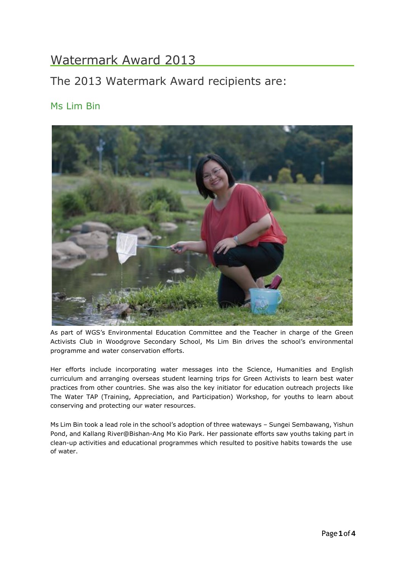# Watermark Award 2013

## The 2013 Watermark Award recipients are:

### Ms Lim Bin



As part of WGS's Environmental Education Committee and the Teacher in charge of the Green Activists Club in Woodgrove Secondary School, Ms Lim Bin drives the school's environmental programme and water conservation efforts.

Her efforts include incorporating water messages into the Science, Humanities and English curriculum and arranging overseas student learning trips for Green Activists to learn best water practices from other countries. She was also the key initiator for education outreach projects like The Water TAP (Training, Appreciation, and Participation) Workshop, for youths to learn about conserving and protecting our water resources.

Ms Lim Bin took a lead role in the school's adoption of three wateways – Sungei Sembawang, Yishun Pond, and Kallang River@Bishan-Ang Mo Kio Park. Her passionate efforts saw youths taking part in clean-up activities and educational programmes which resulted to positive habits towards the use of water.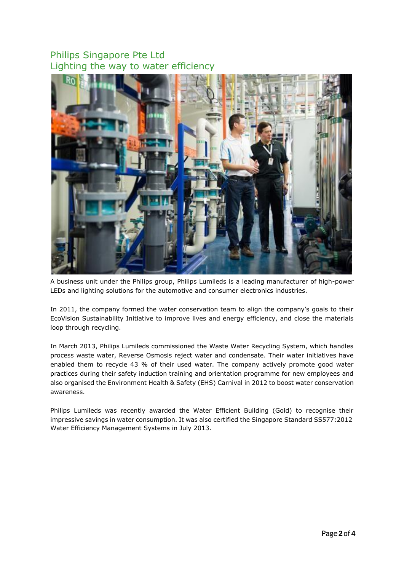### Philips Singapore Pte Ltd Lighting the way to water efficiency



A business unit under the Philips group, Philips Lumileds is a leading manufacturer of high-power LEDs and lighting solutions for the automotive and consumer electronics industries.

In 2011, the company formed the water conservation team to align the company's goals to their EcoVision Sustainability Initiative to improve lives and energy efficiency, and close the materials loop through recycling.

In March 2013, Philips Lumileds commissioned the Waste Water Recycling System, which handles process waste water, Reverse Osmosis reject water and condensate. Their water initiatives have enabled them to recycle 43 % of their used water. The company actively promote good water practices during their safety induction training and orientation programme for new employees and also organised the Environment Health & Safety (EHS) Carnival in 2012 to boost water conservation awareness.

Philips Lumileds was recently awarded the Water Efficient Building (Gold) to recognise their impressive savings in water consumption. It was also certified the Singapore Standard SS577:2012 Water Efficiency Management Systems in July 2013.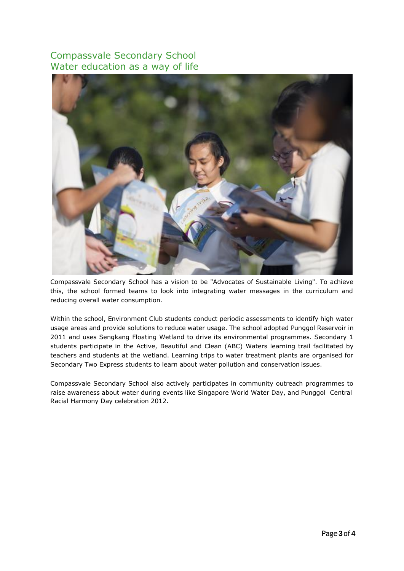#### Compassvale Secondary School Water education as a way of life



Compassvale Secondary School has a vision to be "Advocates of Sustainable Living". To achieve this, the school formed teams to look into integrating water messages in the curriculum and reducing overall water consumption.

Within the school, Environment Club students conduct periodic assessments to identify high water usage areas and provide solutions to reduce water usage. The school adopted Punggol Reservoir in 2011 and uses Sengkang Floating Wetland to drive its environmental programmes. Secondary 1 students participate in the Active, Beautiful and Clean (ABC) Waters learning trail facilitated by teachers and students at the wetland. Learning trips to water treatment plants are organised for Secondary Two Express students to learn about water pollution and conservation issues.

Compassvale Secondary School also actively participates in community outreach programmes to raise awareness about water during events like Singapore World Water Day, and Punggol Central Racial Harmony Day celebration 2012.